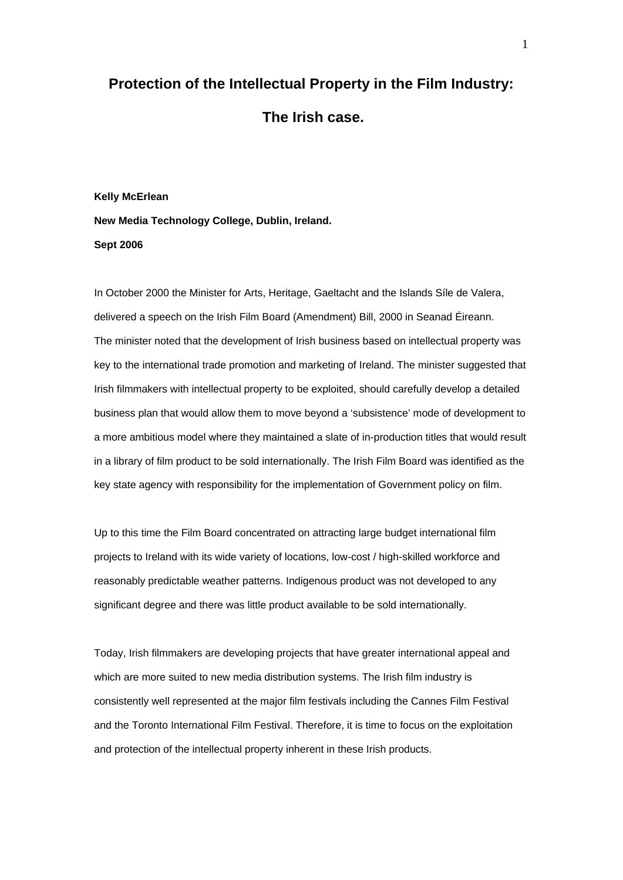# **Protection of the Intellectual Property in the Film Industry: The Irish case.**

# **Kelly McErlean New Media Technology College, Dublin, Ireland. Sept 2006**

In October 2000 the Minister for Arts, Heritage, Gaeltacht and the Islands Síle de Valera, delivered a speech on the Irish Film Board (Amendment) Bill, 2000 in Seanad Éireann. The minister noted that the development of Irish business based on intellectual property was key to the international trade promotion and marketing of Ireland. The minister suggested that Irish filmmakers with intellectual property to be exploited, should carefully develop a detailed business plan that would allow them to move beyond a 'subsistence' mode of development to a more ambitious model where they maintained a slate of in-production titles that would result in a library of film product to be sold internationally. The Irish Film Board was identified as the key state agency with responsibility for the implementation of Government policy on film.

Up to this time the Film Board concentrated on attracting large budget international film projects to Ireland with its wide variety of locations, low-cost / high-skilled workforce and reasonably predictable weather patterns. Indigenous product was not developed to any significant degree and there was little product available to be sold internationally.

Today, Irish filmmakers are developing projects that have greater international appeal and which are more suited to new media distribution systems. The Irish film industry is consistently well represented at the major film festivals including the Cannes Film Festival and the Toronto International Film Festival. Therefore, it is time to focus on the exploitation and protection of the intellectual property inherent in these Irish products.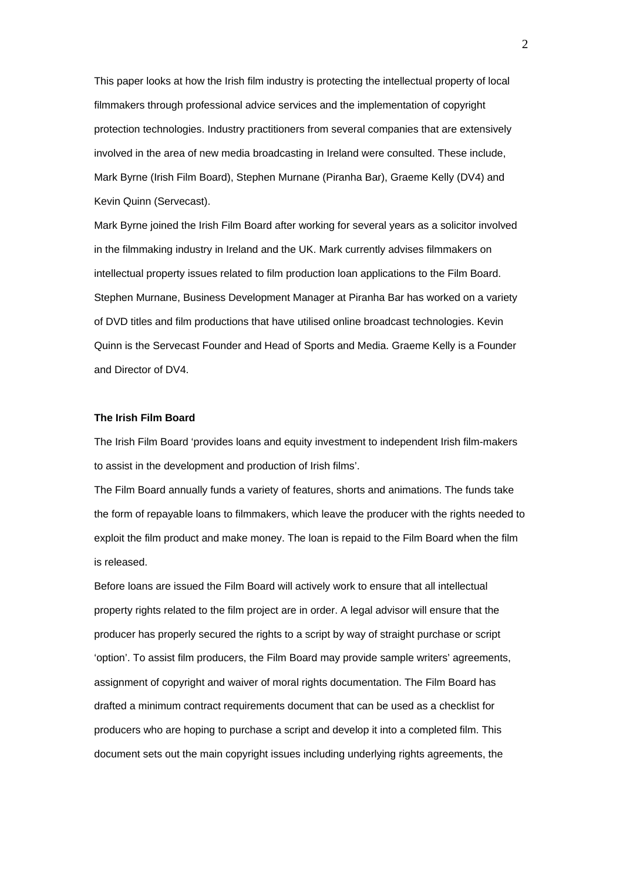This paper looks at how the Irish film industry is protecting the intellectual property of local filmmakers through professional advice services and the implementation of copyright protection technologies. Industry practitioners from several companies that are extensively involved in the area of new media broadcasting in Ireland were consulted. These include, Mark Byrne (Irish Film Board), Stephen Murnane (Piranha Bar), Graeme Kelly (DV4) and Kevin Quinn (Servecast).

Mark Byrne joined the Irish Film Board after working for several years as a solicitor involved in the filmmaking industry in Ireland and the UK. Mark currently advises filmmakers on intellectual property issues related to film production loan applications to the Film Board. Stephen Murnane, Business Development Manager at Piranha Bar has worked on a variety of DVD titles and film productions that have utilised online broadcast technologies. Kevin Quinn is the Servecast Founder and Head of Sports and Media. Graeme Kelly is a Founder and Director of DV4.

## **The Irish Film Board**

The Irish Film Board 'provides loans and equity investment to independent Irish film-makers to assist in the development and production of Irish films'.

The Film Board annually funds a variety of features, shorts and animations. The funds take the form of repayable loans to filmmakers, which leave the producer with the rights needed to exploit the film product and make money. The loan is repaid to the Film Board when the film is released.

Before loans are issued the Film Board will actively work to ensure that all intellectual property rights related to the film project are in order. A legal advisor will ensure that the producer has properly secured the rights to a script by way of straight purchase or script 'option'. To assist film producers, the Film Board may provide sample writers' agreements, assignment of copyright and waiver of moral rights documentation. The Film Board has drafted a minimum contract requirements document that can be used as a checklist for producers who are hoping to purchase a script and develop it into a completed film. This document sets out the main copyright issues including underlying rights agreements, the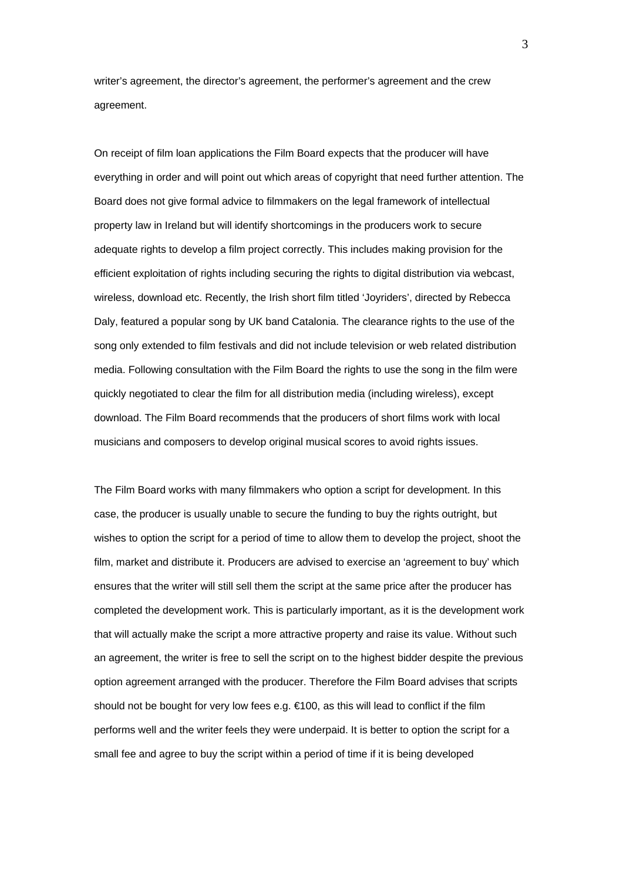writer's agreement, the director's agreement, the performer's agreement and the crew agreement.

On receipt of film loan applications the Film Board expects that the producer will have everything in order and will point out which areas of copyright that need further attention. The Board does not give formal advice to filmmakers on the legal framework of intellectual property law in Ireland but will identify shortcomings in the producers work to secure adequate rights to develop a film project correctly. This includes making provision for the efficient exploitation of rights including securing the rights to digital distribution via webcast, wireless, download etc. Recently, the Irish short film titled 'Joyriders', directed by Rebecca Daly, featured a popular song by UK band Catalonia. The clearance rights to the use of the song only extended to film festivals and did not include television or web related distribution media. Following consultation with the Film Board the rights to use the song in the film were quickly negotiated to clear the film for all distribution media (including wireless), except download. The Film Board recommends that the producers of short films work with local musicians and composers to develop original musical scores to avoid rights issues.

The Film Board works with many filmmakers who option a script for development. In this case, the producer is usually unable to secure the funding to buy the rights outright, but wishes to option the script for a period of time to allow them to develop the project, shoot the film, market and distribute it. Producers are advised to exercise an 'agreement to buy' which ensures that the writer will still sell them the script at the same price after the producer has completed the development work. This is particularly important, as it is the development work that will actually make the script a more attractive property and raise its value. Without such an agreement, the writer is free to sell the script on to the highest bidder despite the previous option agreement arranged with the producer. Therefore the Film Board advises that scripts should not be bought for very low fees e.g.  $\in$  100, as this will lead to conflict if the film performs well and the writer feels they were underpaid. It is better to option the script for a small fee and agree to buy the script within a period of time if it is being developed

3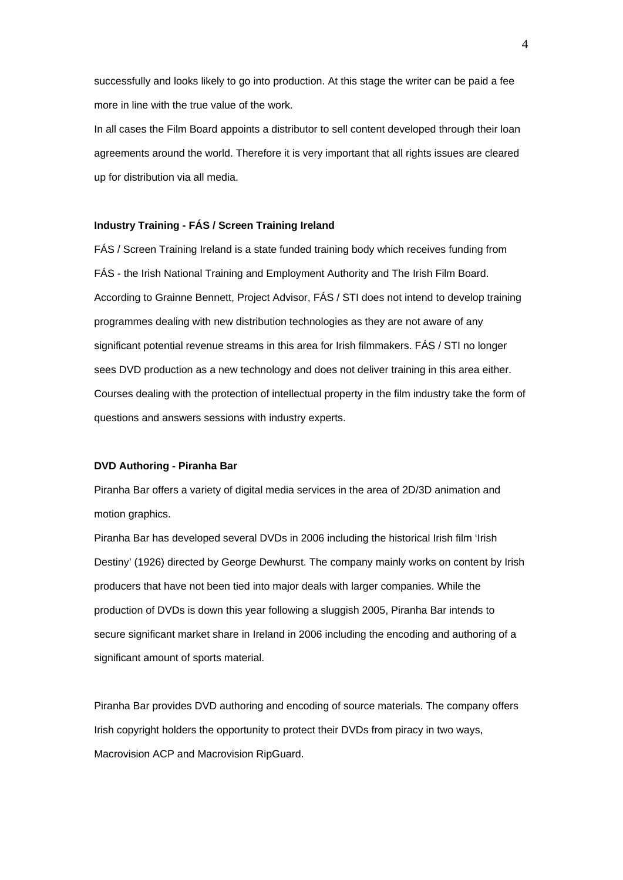successfully and looks likely to go into production. At this stage the writer can be paid a fee more in line with the true value of the work.

In all cases the Film Board appoints a distributor to sell content developed through their loan agreements around the world. Therefore it is very important that all rights issues are cleared up for distribution via all media.

#### **Industry Training - FÁS / Screen Training Ireland**

FÁS / Screen Training Ireland is a state funded training body which receives funding from FÁS - the Irish National Training and Employment Authority and The Irish Film Board. According to Grainne Bennett, Project Advisor, FÁS / STI does not intend to develop training programmes dealing with new distribution technologies as they are not aware of any significant potential revenue streams in this area for Irish filmmakers. FÁS / STI no longer sees DVD production as a new technology and does not deliver training in this area either. Courses dealing with the protection of intellectual property in the film industry take the form of questions and answers sessions with industry experts.

#### **DVD Authoring - Piranha Bar**

Piranha Bar offers a variety of digital media services in the area of 2D/3D animation and motion graphics.

Piranha Bar has developed several DVDs in 2006 including the historical Irish film 'Irish Destiny' (1926) directed by George Dewhurst. The company mainly works on content by Irish producers that have not been tied into major deals with larger companies. While the production of DVDs is down this year following a sluggish 2005, Piranha Bar intends to secure significant market share in Ireland in 2006 including the encoding and authoring of a significant amount of sports material.

Piranha Bar provides DVD authoring and encoding of source materials. The company offers Irish copyright holders the opportunity to protect their DVDs from piracy in two ways, Macrovision ACP and Macrovision RipGuard.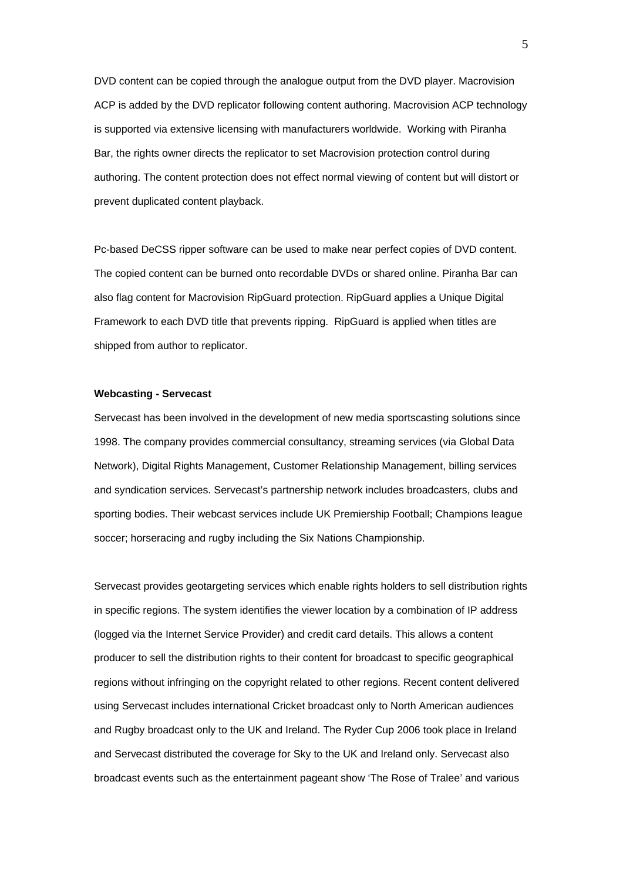DVD content can be copied through the analogue output from the DVD player. Macrovision ACP is added by the DVD replicator following content authoring. Macrovision ACP technology is supported via extensive licensing with manufacturers worldwide. Working with Piranha Bar, the rights owner directs the replicator to set Macrovision protection control during authoring. The content protection does not effect normal viewing of content but will distort or prevent duplicated content playback.

Pc-based DeCSS ripper software can be used to make near perfect copies of DVD content. The copied content can be burned onto recordable DVDs or shared online. Piranha Bar can also flag content for Macrovision RipGuard protection. RipGuard applies a Unique Digital Framework to each DVD title that prevents ripping. RipGuard is applied when titles are shipped from author to replicator.

#### **Webcasting - Servecast**

Servecast has been involved in the development of new media sportscasting solutions since 1998. The company provides commercial consultancy, streaming services (via Global Data Network), Digital Rights Management, Customer Relationship Management, billing services and syndication services. Servecast's partnership network includes broadcasters, clubs and sporting bodies. Their webcast services include UK Premiership Football; Champions league soccer; horseracing and rugby including the Six Nations Championship.

Servecast provides geotargeting services which enable rights holders to sell distribution rights in specific regions. The system identifies the viewer location by a combination of IP address (logged via the Internet Service Provider) and credit card details. This allows a content producer to sell the distribution rights to their content for broadcast to specific geographical regions without infringing on the copyright related to other regions. Recent content delivered using Servecast includes international Cricket broadcast only to North American audiences and Rugby broadcast only to the UK and Ireland. The Ryder Cup 2006 took place in Ireland and Servecast distributed the coverage for Sky to the UK and Ireland only. Servecast also broadcast events such as the entertainment pageant show 'The Rose of Tralee' and various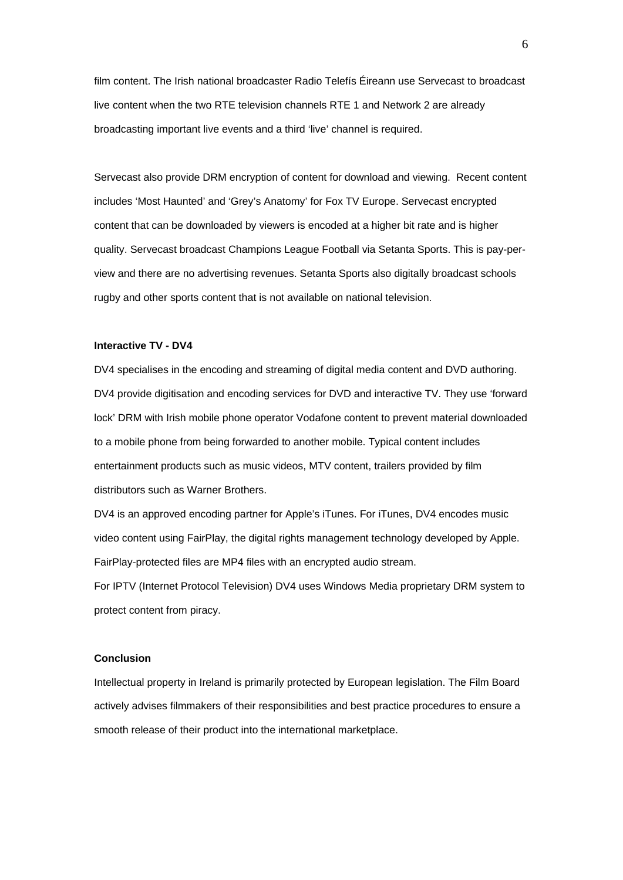film content. The Irish national broadcaster Radio Telefís Éireann use Servecast to broadcast live content when the two RTE television channels RTE 1 and Network 2 are already broadcasting important live events and a third 'live' channel is required.

Servecast also provide DRM encryption of content for download and viewing. Recent content includes 'Most Haunted' and 'Grey's Anatomy' for Fox TV Europe. Servecast encrypted content that can be downloaded by viewers is encoded at a higher bit rate and is higher quality. Servecast broadcast Champions League Football via Setanta Sports. This is pay-perview and there are no advertising revenues. Setanta Sports also digitally broadcast schools rugby and other sports content that is not available on national television.

#### **Interactive TV - DV4**

DV4 specialises in the encoding and streaming of digital media content and DVD authoring. DV4 provide digitisation and encoding services for DVD and interactive TV. They use 'forward lock' DRM with Irish mobile phone operator Vodafone content to prevent material downloaded to a mobile phone from being forwarded to another mobile. Typical content includes entertainment products such as music videos, MTV content, trailers provided by film distributors such as Warner Brothers.

DV4 is an approved encoding partner for Apple's iTunes. For iTunes, DV4 encodes music video content using FairPlay, the digital rights management technology developed by Apple. FairPlay-protected files are MP4 files with an encrypted audio stream. For IPTV (Internet Protocol Television) DV4 uses Windows Media proprietary DRM system to protect content from piracy.

### **Conclusion**

Intellectual property in Ireland is primarily protected by European legislation. The Film Board actively advises filmmakers of their responsibilities and best practice procedures to ensure a smooth release of their product into the international marketplace.